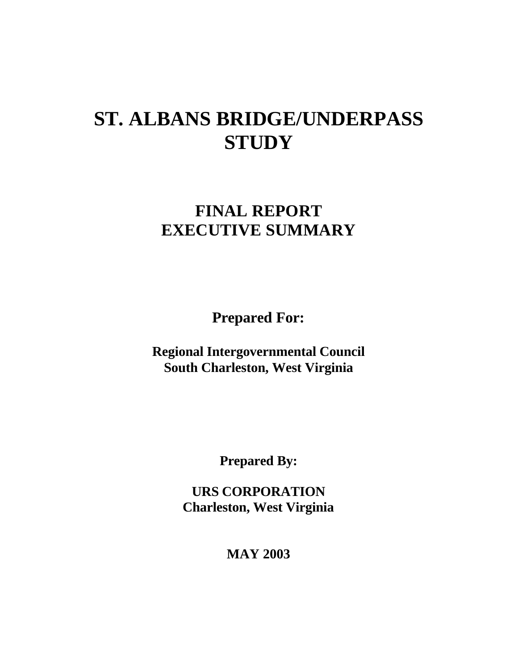# **ST. ALBANS BRIDGE/UNDERPASS STUDY**

# **FINAL REPORT EXECUTIVE SUMMARY**

**Prepared For:**

**Regional Intergovernmental Council South Charleston, West Virginia**

**Prepared By:**

**URS CORPORATION Charleston, West Virginia**

**MAY 2003**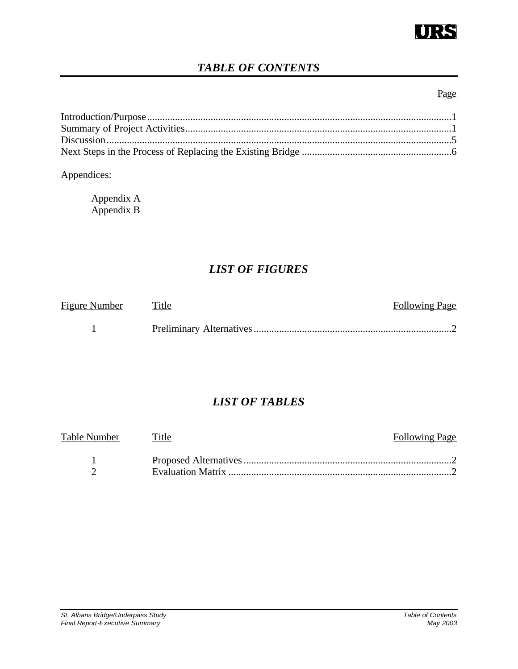

# *TABLE OF CONTENTS*

### Page

### Appendices:

| Appendix A |  |
|------------|--|
| Appendix B |  |

# *LIST OF FIGURES*

| Figure Number Title | <b>Following Page</b> |
|---------------------|-----------------------|
|                     |                       |

# *LIST OF TABLES*

| Table Number Title | <b>Following Page</b> |
|--------------------|-----------------------|
|                    |                       |
|                    |                       |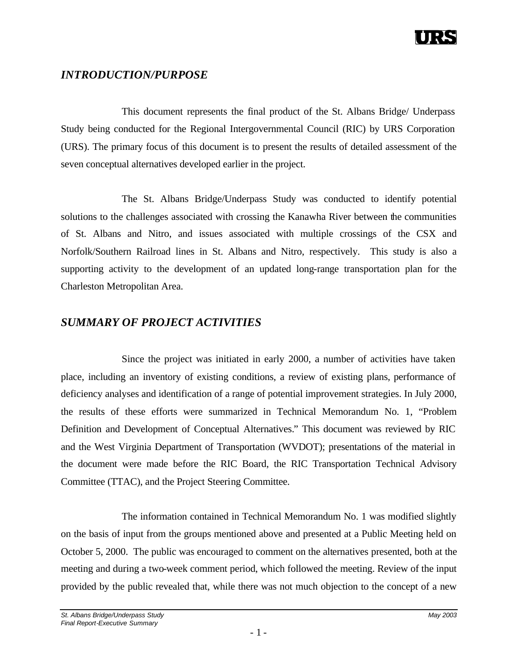# *INTRODUCTION/PURPOSE*

This document represents the final product of the St. Albans Bridge/ Underpass Study being conducted for the Regional Intergovernmental Council (RIC) by URS Corporation (URS). The primary focus of this document is to present the results of detailed assessment of the seven conceptual alternatives developed earlier in the project.

The St. Albans Bridge/Underpass Study was conducted to identify potential solutions to the challenges associated with crossing the Kanawha River between the communities of St. Albans and Nitro, and issues associated with multiple crossings of the CSX and Norfolk/Southern Railroad lines in St. Albans and Nitro, respectively. This study is also a supporting activity to the development of an updated long-range transportation plan for the Charleston Metropolitan Area.

## *SUMMARY OF PROJECT ACTIVITIES*

Since the project was initiated in early 2000, a number of activities have taken place, including an inventory of existing conditions, a review of existing plans, performance of deficiency analyses and identification of a range of potential improvement strategies. In July 2000, the results of these efforts were summarized in Technical Memorandum No. 1, "Problem Definition and Development of Conceptual Alternatives." This document was reviewed by RIC and the West Virginia Department of Transportation (WVDOT); presentations of the material in the document were made before the RIC Board, the RIC Transportation Technical Advisory Committee (TTAC), and the Project Steering Committee.

The information contained in Technical Memorandum No. 1 was modified slightly on the basis of input from the groups mentioned above and presented at a Public Meeting held on October 5, 2000. The public was encouraged to comment on the alternatives presented, both at the meeting and during a two-week comment period, which followed the meeting. Review of the input provided by the public revealed that, while there was not much objection to the concept of a new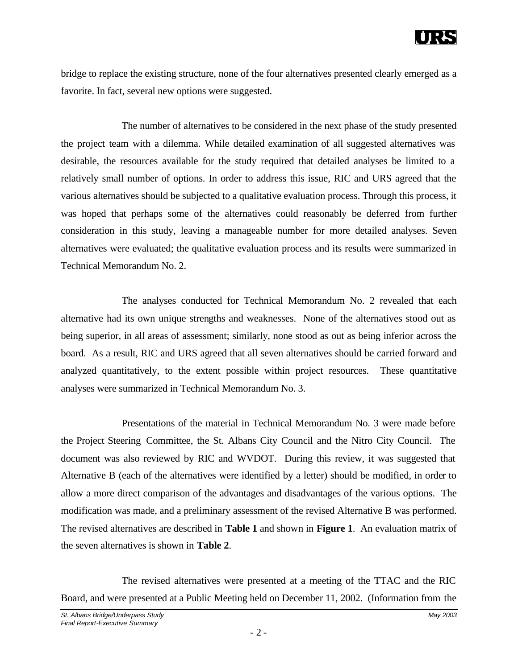bridge to replace the existing structure, none of the four alternatives presented clearly emerged as a favorite. In fact, several new options were suggested.

The number of alternatives to be considered in the next phase of the study presented the project team with a dilemma. While detailed examination of all suggested alternatives was desirable, the resources available for the study required that detailed analyses be limited to a relatively small number of options. In order to address this issue, RIC and URS agreed that the various alternatives should be subjected to a qualitative evaluation process. Through this process, it was hoped that perhaps some of the alternatives could reasonably be deferred from further consideration in this study, leaving a manageable number for more detailed analyses. Seven alternatives were evaluated; the qualitative evaluation process and its results were summarized in Technical Memorandum No. 2.

The analyses conducted for Technical Memorandum No. 2 revealed that each alternative had its own unique strengths and weaknesses. None of the alternatives stood out as being superior, in all areas of assessment; similarly, none stood as out as being inferior across the board. As a result, RIC and URS agreed that all seven alternatives should be carried forward and analyzed quantitatively, to the extent possible within project resources. These quantitative analyses were summarized in Technical Memorandum No. 3.

Presentations of the material in Technical Memorandum No. 3 were made before the Project Steering Committee, the St. Albans City Council and the Nitro City Council. The document was also reviewed by RIC and WVDOT. During this review, it was suggested that Alternative B (each of the alternatives were identified by a letter) should be modified, in order to allow a more direct comparison of the advantages and disadvantages of the various options. The modification was made, and a preliminary assessment of the revised Alternative B was performed. The revised alternatives are described in **Table 1** and shown in **Figure 1**. An evaluation matrix of the seven alternatives is shown in **Table 2**.

The revised alternatives were presented at a meeting of the TTAC and the RIC Board, and were presented at a Public Meeting held on December 11, 2002. (Information from the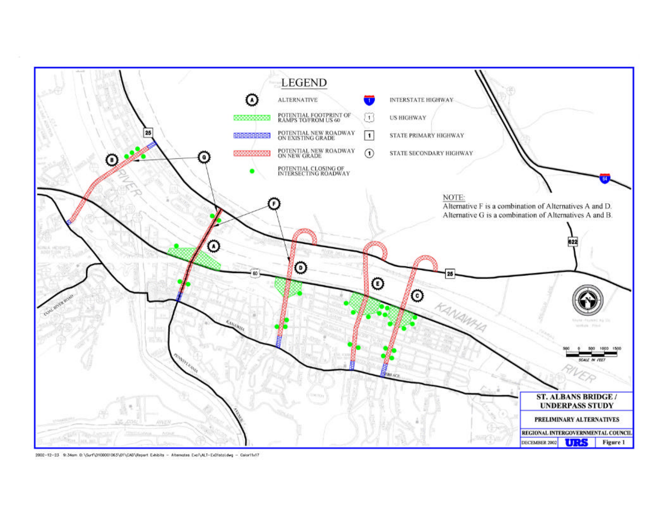

2002-12-23 9:34am 0:\Surl\D100001063\D1\CAD\Report Exhibits - Alternates Eval\ALT-ExClistaLdwg - Color11x17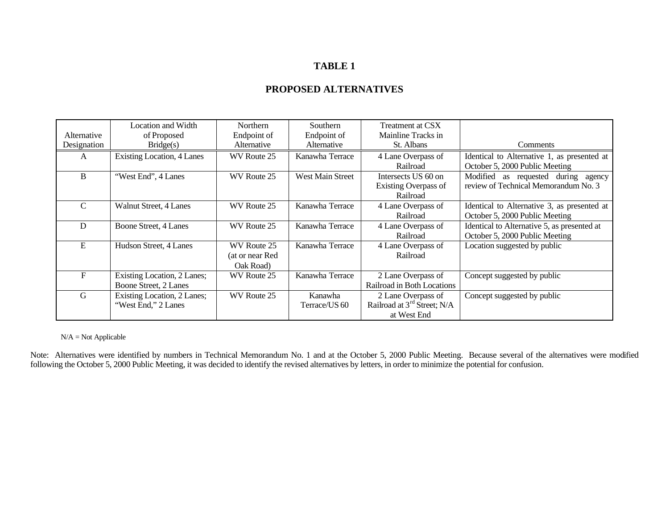### **TABLE 1**

| Alternative | Location and Width<br>of Proposed                    | <b>Northern</b><br>Endpoint of              | Southern<br>Endpoint of  | Treatment at CSX<br>Mainline Tracks in                                       |                                                                               |
|-------------|------------------------------------------------------|---------------------------------------------|--------------------------|------------------------------------------------------------------------------|-------------------------------------------------------------------------------|
| Designation | Bridge(s)                                            | Alternative                                 | Alternative              | St. Albans                                                                   | <b>Comments</b>                                                               |
| A           | <b>Existing Location, 4 Lanes</b>                    | WV Route 25                                 | Kanawha Terrace          | 4 Lane Overpass of<br>Railroad                                               | Identical to Alternative 1, as presented at<br>October 5, 2000 Public Meeting |
| B           | "West End", 4 Lanes                                  | WV Route 25                                 | <b>West Main Street</b>  | Intersects US 60 on<br>Existing Overpass of<br>Railroad                      | Modified as requested during agency<br>review of Technical Memorandum No. 3   |
| C           | Walnut Street, 4 Lanes                               | WV Route 25                                 | Kanawha Terrace          | 4 Lane Overpass of<br>Railroad                                               | Identical to Alternative 3, as presented at<br>October 5, 2000 Public Meeting |
| D           | Boone Street, 4 Lanes                                | WV Route 25                                 | Kanawha Terrace          | 4 Lane Overpass of<br>Railroad                                               | Identical to Alternative 5, as presented at<br>October 5, 2000 Public Meeting |
| E           | Hudson Street, 4 Lanes                               | WV Route 25<br>(at or near Red<br>Oak Road) | Kanawha Terrace          | 4 Lane Overpass of<br>Railroad                                               | Location suggested by public                                                  |
| F           | Existing Location, 2 Lanes;<br>Boone Street, 2 Lanes | WV Route 25                                 | Kanawha Terrace          | 2 Lane Overpass of<br>Railroad in Both Locations                             | Concept suggested by public                                                   |
| G           | Existing Location, 2 Lanes;<br>"West End," 2 Lanes   | WV Route 25                                 | Kanawha<br>Terrace/US 60 | 2 Lane Overpass of<br>Railroad at 3 <sup>rd</sup> Street; N/A<br>at West End | Concept suggested by public                                                   |

### **PROPOSED ALTERNATIVES**

 $N/A = Not$  Applicable

Note: Alternatives were identified by numbers in Technical Memorandum No. 1 and at the October 5, 2000 Public Meeting. Because several of the alternatives were modified following the October 5, 2000 Public Meeting, it was decided to identify the revised alternatives by letters, in order to minimize the potential for confusion.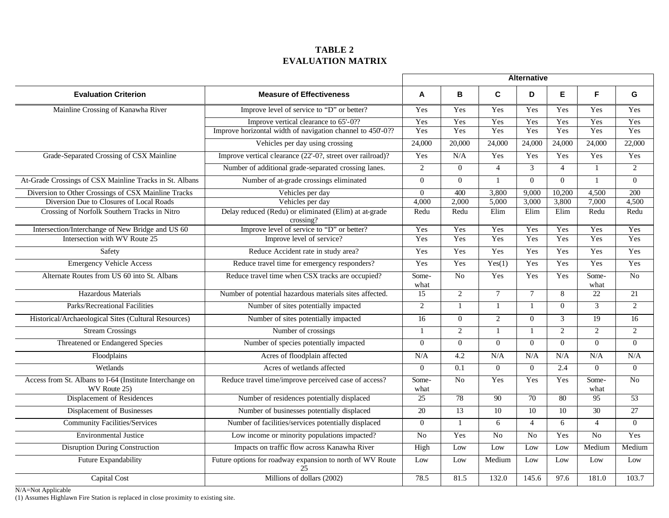### **TABLE 2 EVALUATION MATRIX**

|                                                                                         |                                                                    | <b>Alternative</b> |                  |                 |                  |                  |                 |                  |
|-----------------------------------------------------------------------------------------|--------------------------------------------------------------------|--------------------|------------------|-----------------|------------------|------------------|-----------------|------------------|
| <b>Evaluation Criterion</b>                                                             | <b>Measure of Effectiveness</b>                                    |                    | B                | C               | D                | E.               | F.              | G                |
| Mainline Crossing of Kanawha River                                                      | Improve level of service to "D" or better?                         | Yes                | Yes              | Yes             | Yes              | Yes              | Yes             | Yes              |
|                                                                                         | Improve vertical clearance to 65'-0??                              |                    | Yes              | Yes             | Yes              | Yes              | Yes             | Yes              |
|                                                                                         | Improve horizontal width of navigation channel to 450'-0??         | Yes                | Yes              | Yes             | Yes              | Yes              | Yes             | Yes              |
|                                                                                         | Vehicles per day using crossing                                    | 24,000             | 20,000           | 24,000          | 24,000           | 24,000           | 24,000          | 22,000           |
| Grade-Separated Crossing of CSX Mainline                                                | Improve vertical clearance (22'-0?, street over railroad)?         |                    | N/A              | Yes             | Yes              | Yes              | Yes             | Yes              |
|                                                                                         | Number of additional grade-separated crossing lanes.               | 2                  | $\overline{0}$   | $\overline{4}$  | 3                | $\overline{4}$   | $\mathbf{1}$    | 2                |
| At-Grade Crossings of CSX Mainline Tracks in St. Albans                                 | Number of at-grade crossings eliminated                            | $\Omega$           | $\overline{0}$   | $\mathbf{1}$    | $\overline{0}$   | $\boldsymbol{0}$ | $\mathbf{1}$    | $\mathbf{0}$     |
| Diversion to Other Crossings of CSX Mainline Tracks                                     | Vehicles per day                                                   | $\Omega$           | 400              | 3,800           | 9,000            | 10,200           | 4,500           | 200              |
| Diversion Due to Closures of Local Roads                                                | Vehicles per day                                                   | 4,000              | 2,000            | 5,000           | 3,000            | 3,800            | 7,000           | 4,500            |
| Crossing of Norfolk Southern Tracks in Nitro                                            | Delay reduced (Redu) or eliminated (Elim) at at-grade<br>crossing? | Redu               | Redu             | Elim            | Elim             | Elim             | Redu            | Redu             |
| Intersection/Interchange of New Bridge and US 60                                        | Improve level of service to "D" or better?                         | Yes                | Yes              | Yes             | Yes              | Yes              | Yes             | Yes              |
| Intersection with WV Route 25                                                           | Improve level of service?                                          | Yes                | Yes              | Yes             | Yes              | Yes              | Yes             | Yes              |
| Safety                                                                                  | Reduce Accident rate in study area?                                | Yes                | Yes              | Yes             | Yes              | Yes              | Yes             | Yes              |
| <b>Emergency Vehicle Access</b>                                                         | Reduce travel time for emergency responders?                       | Yes                | Yes              | Yes(1)          | Yes              | Yes              | Yes             | Yes              |
| Alternate Routes from US 60 into St. Albans                                             | Reduce travel time when CSX tracks are occupied?                   | Some-<br>what      | $\overline{No}$  | Yes             | Yes              | Yes              | Some-<br>what   | $\overline{N_0}$ |
| Hazardous Materials                                                                     | Number of potential hazardous materials sites affected.            | 15                 | $\overline{2}$   | $\overline{7}$  | $\overline{7}$   | 8                | 22              | 21               |
| <b>Parks/Recreational Facilities</b>                                                    | Number of sites potentially impacted                               | 2                  | $\mathbf{1}$     | $\mathbf{1}$    | $\overline{1}$   | $\overline{0}$   | $\overline{3}$  | $\overline{2}$   |
| Historical/Archaeological Sites (Cultural Resources)                                    | Number of sites potentially impacted                               | $\overline{16}$    | $\overline{0}$   | $\overline{2}$  | $\boldsymbol{0}$ | $\overline{3}$   | $\overline{19}$ | 16               |
| <b>Stream Crossings</b>                                                                 | Number of crossings                                                |                    | $\overline{2}$   | 1               | $\mathbf{1}$     | $\overline{2}$   | $\overline{2}$  | 2                |
| Threatened or Endangered Species                                                        | Number of species potentially impacted                             | $\Omega$           | $\overline{0}$   | $\mathbf{0}$    | $\Omega$         | $\Omega$         | $\overline{0}$  | $\Omega$         |
| Floodplains                                                                             | Acres of floodplain affected                                       | N/A                | 4.2              | N/A             | N/A              | N/A              | N/A             | N/A              |
| Wetlands                                                                                | Acres of wetlands affected                                         | $\Omega$           | $\overline{0.1}$ | $\mathbf{0}$    | $\overline{0}$   | 2.4              | $\overline{0}$  | $\overline{0}$   |
| Access from St. Albans to I-64 (Institute Interchange on<br>WV Route 25)                | Reduce travel time/improve perceived case of access?               |                    | $\overline{No}$  | Yes             | Yes              | Yes              | Some-<br>what   | N <sub>o</sub>   |
| Displacement of Residences                                                              | Number of residences potentially displaced                         | $\overline{25}$    | 78               | 90              | $\overline{70}$  | 80               | 95              | $\overline{53}$  |
| <b>Displacement of Businesses</b>                                                       | Number of businesses potentially displaced                         |                    | 13               | $\overline{10}$ | 10               | 10               | 30              | $\overline{27}$  |
| <b>Community Facilities/Services</b>                                                    | Number of facilities/services potentially displaced                | $\Omega$           | $\mathbf{1}$     | 6               | $\overline{4}$   | 6                | $\overline{4}$  | $\theta$         |
| <b>Environmental Justice</b>                                                            | Low income or minority populations impacted?                       | N <sub>o</sub>     | Yes              | $\overline{No}$ | $\overline{No}$  | Yes              | N <sub>o</sub>  | Yes              |
| <b>Disruption During Construction</b>                                                   | Impacts on traffic flow across Kanawha River                       | High               | Low              | Low             | Low              | Low              | Medium          | Medium           |
| Future Expandability<br>Future options for roadway expansion to north of WV Route<br>25 |                                                                    | Low                | Low              | Medium          | Low              | Low              | Low             | Low              |
| Capital Cost                                                                            | Millions of dollars (2002)                                         | 78.5               | 81.5             | 132.0           | 145.6            | 97.6             | 181.0           | 103.7            |

N/A=Not Applicable

(1) Assumes Highlawn Fire Station is replaced in close proximity to existing site.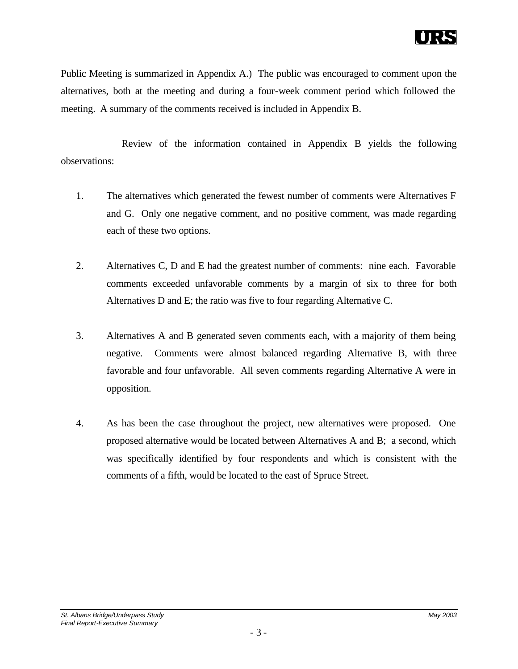Public Meeting is summarized in Appendix A.) The public was encouraged to comment upon the alternatives, both at the meeting and during a four-week comment period which followed the meeting. A summary of the comments received is included in Appendix B.

Review of the information contained in Appendix B yields the following observations:

- 1. The alternatives which generated the fewest number of comments were Alternatives F and G. Only one negative comment, and no positive comment, was made regarding each of these two options.
- 2. Alternatives C, D and E had the greatest number of comments: nine each. Favorable comments exceeded unfavorable comments by a margin of six to three for both Alternatives D and E; the ratio was five to four regarding Alternative C.
- 3. Alternatives A and B generated seven comments each, with a majority of them being negative. Comments were almost balanced regarding Alternative B, with three favorable and four unfavorable. All seven comments regarding Alternative A were in opposition.
- 4. As has been the case throughout the project, new alternatives were proposed. One proposed alternative would be located between Alternatives A and B; a second, which was specifically identified by four respondents and which is consistent with the comments of a fifth, would be located to the east of Spruce Street.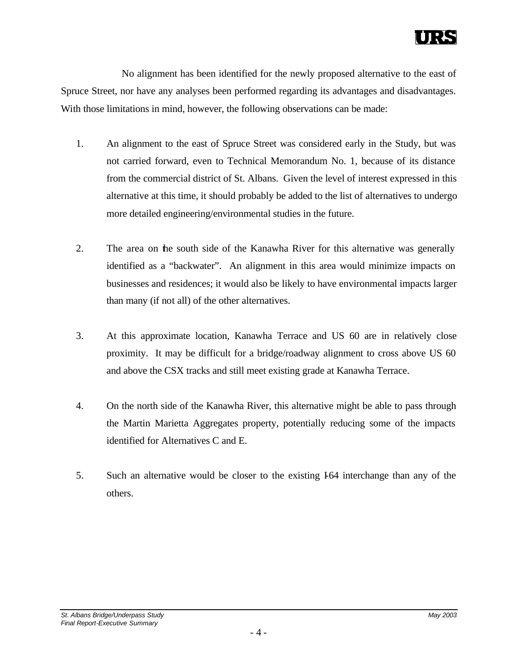No alignment has been identified for the newly proposed alternative to the east of Spruce Street, nor have any analyses been performed regarding its advantages and disadvantages. With those limitations in mind, however, the following observations can be made:

- 1. An alignment to the east of Spruce Street was considered early in the Study, but was not carried forward, even to Technical Memorandum No. 1, because of its distance from the commercial district of St. Albans. Given the level of interest expressed in this alternative at this time, it should probably be added to the list of alternatives to undergo more detailed engineering/environmental studies in the future.
- 2. The area on the south side of the Kanawha River for this alternative was generally identified as a "backwater". An alignment in this area would minimize impacts on businesses and residences; it would also be likely to have environmental impacts larger than many (if not all) of the other alternatives.
- 3. At this approximate location, Kanawha Terrace and US 60 are in relatively close proximity. It may be difficult for a bridge/roadway alignment to cross above US 60 and above the CSX tracks and still meet existing grade at Kanawha Terrace.
- 4. On the north side of the Kanawha River, this alternative might be able to pass through the Martin Marietta Aggregates property, potentially reducing some of the impacts identified for Alternatives C and E.
- 5. Such an alternative would be closer to the existing I64 interchange than any of the others.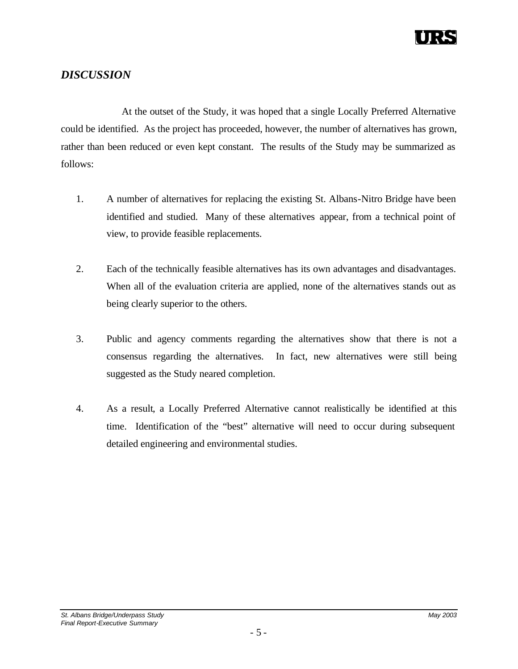

### *DISCUSSION*

At the outset of the Study, it was hoped that a single Locally Preferred Alternative could be identified. As the project has proceeded, however, the number of alternatives has grown, rather than been reduced or even kept constant. The results of the Study may be summarized as follows:

- 1. A number of alternatives for replacing the existing St. Albans-Nitro Bridge have been identified and studied. Many of these alternatives appear, from a technical point of view, to provide feasible replacements.
- 2. Each of the technically feasible alternatives has its own advantages and disadvantages. When all of the evaluation criteria are applied, none of the alternatives stands out as being clearly superior to the others.
- 3. Public and agency comments regarding the alternatives show that there is not a consensus regarding the alternatives. In fact, new alternatives were still being suggested as the Study neared completion.
- 4. As a result, a Locally Preferred Alternative cannot realistically be identified at this time. Identification of the "best" alternative will need to occur during subsequent detailed engineering and environmental studies.